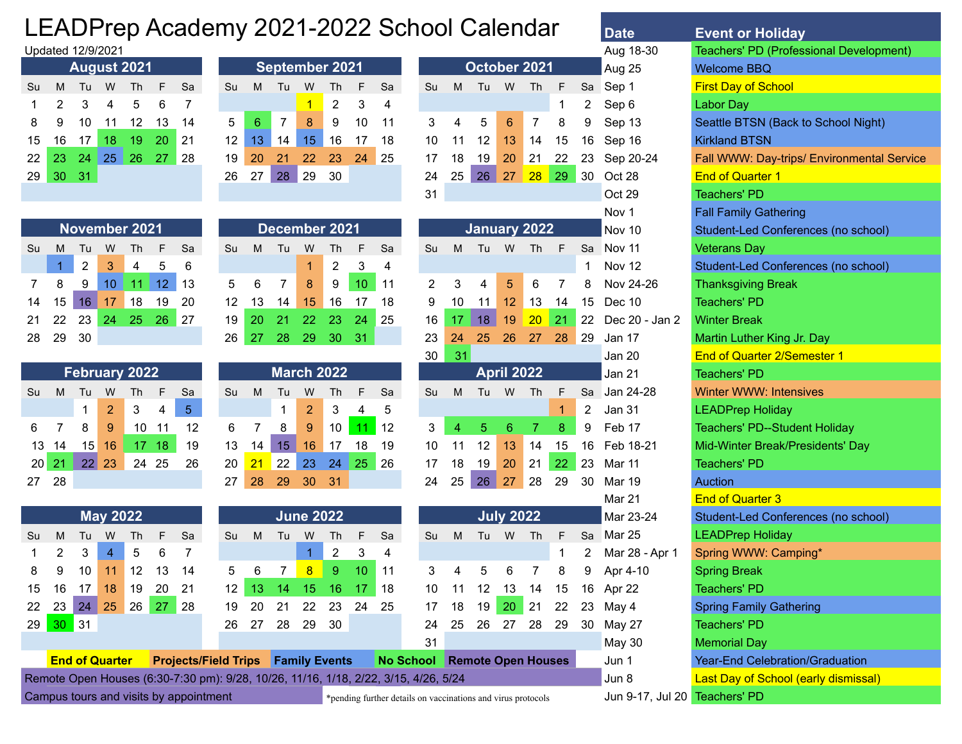## LEADPrep Academy 2021-2022 School Calendar **Date**

| Su                                                    | м     | Tu | <b>August 2021</b><br>Th<br>W<br>Sа<br>- F |                        |  |                 |  |  |  |  |  |  |  |  |  |  |  |
|-------------------------------------------------------|-------|----|--------------------------------------------|------------------------|--|-----------------|--|--|--|--|--|--|--|--|--|--|--|
| $\mathbf{3}$<br>2<br>1<br>$\overline{4}$<br>$-5$<br>6 |       |    |                                            |                        |  |                 |  |  |  |  |  |  |  |  |  |  |  |
|                                                       |       |    |                                            |                        |  |                 |  |  |  |  |  |  |  |  |  |  |  |
| 11 12 13<br>8<br>10<br>9<br>14<br>16 17 18            |       |    |                                            |                        |  |                 |  |  |  |  |  |  |  |  |  |  |  |
| 15                                                    |       |    |                                            | 19 20                  |  | $\overline{21}$ |  |  |  |  |  |  |  |  |  |  |  |
| 22.                                                   | 23 24 |    |                                            | $25 \quad 26 \quad 27$ |  | 28              |  |  |  |  |  |  |  |  |  |  |  |
| 29                                                    | 30    | 31 |                                            |                        |  |                 |  |  |  |  |  |  |  |  |  |  |  |

|    |    |                | <b>November 2021</b> |       |    |     |
|----|----|----------------|----------------------|-------|----|-----|
| Su | м  | Tu             | W                    | - Th  | F  | Sa  |
|    | 1  | $\overline{2}$ | $\mathbf{3}$         | 4     | 5  | 6   |
| 7  | 8  | 9              | 10                   | $-11$ | 12 | 13  |
| 14 |    | $15$ 16        | 17 <sup>1</sup>      | 18    | 19 | 20  |
| 21 |    |                | 22 23 24 25 26       |       |    | -27 |
| 28 | 29 | 30             |                      |       |    |     |

|         |       |       |                | <b>February 2022</b> |       |    |
|---------|-------|-------|----------------|----------------------|-------|----|
| Su      | M     | Tu    | W              | Th                   | F     | Sa |
|         |       | 1.    | $\overline{2}$ | 3                    | 4     | 5  |
| 6       | -7    | 8     | 9              | 10                   | 11    | 12 |
|         | 13 14 | 15    | 16             |                      | 17 18 | 19 |
| $20$ 21 |       | 22 23 |                | 24 25                |       | 26 |
| 27      | 28    |       |                |                      |       |    |

|  |    |    |    | December 2021     |    |    |             |
|--|----|----|----|-------------------|----|----|-------------|
|  | Su | M  | Tu | W                 | Th | F  | S           |
|  |    |    |    | 1                 | 2  | 3  | 4           |
|  | 5  | 6  | 7  | 8                 | 9  | 10 | $1^{\circ}$ |
|  | 12 | 13 | 14 | 15                | 16 | 17 | 18          |
|  | 19 | 20 | 21 | 22                | 23 | 24 | 25          |
|  | 26 | 27 | 28 | 29                | 30 | 31 |             |
|  |    |    |    |                   |    |    |             |
|  |    |    |    | <b>March 2022</b> |    |    |             |
|  | Su | M  | Tu | W                 | Th | F  | S           |
|  |    |    | 1  | $\overline{2}$    | 3  | 4  | 5           |

|   |    |    | <b>March 2022</b> |    |                |    |
|---|----|----|-------------------|----|----------------|----|
| ū | М  | Tu | W                 | Th | F              | Sa |
|   |    | 1  | $\overline{2}$    | 3  | $\overline{4}$ | 5  |
| ì |    | 8  | 9                 | 10 | 11             | 12 |
| 3 | 14 | 15 | 16                | 17 | 18             | 19 |
| 0 | 21 | 22 | 23                | 24 | 25             | 26 |
| 7 | 28 | 29 | 30                | 31 |                |    |
|   |    |    |                   |    |                |    |

|                |                 | <b>May 2022</b>       |                                                                                           |    |                             |           |     |    | <b>June 2022</b>     |     |    |     |                  |        |              | <b>July 2022</b>          |    |    |      | Mar 23-24      | Student-Led Conferences (no school) |
|----------------|-----------------|-----------------------|-------------------------------------------------------------------------------------------|----|-----------------------------|-----------|-----|----|----------------------|-----|----|-----|------------------|--------|--------------|---------------------------|----|----|------|----------------|-------------------------------------|
| Su M           | Tu              | W                     | Th.                                                                                       | F. | <b>Sa</b>                   | <b>Su</b> | M   | Tu | W                    | Th  | F. | Sa  | Su.              | M      | Tu           | W                         | Th | F. | Sa l | Mar 25         | <b>LEADPrep Holiday</b>             |
| $\overline{2}$ | 3               | $\overline{4}$        | 5                                                                                         | 6  |                             |           |     |    |                      |     | 3  | 4   |                  |        |              |                           |    |    |      | Mar 28 - Apr 1 | Spring WWW: Camping*                |
| 89             | 10              | 11                    | 12                                                                                        | 13 | 14                          |           | 6   |    | -8                   | -9  | 10 | 11  |                  | 4      | 5            |                           |    |    | 9    | Apr 4-10       | <b>Spring Break</b>                 |
| 15 16          | 17              | 18                    | 19<br>20<br>15<br>-21<br>15<br>16<br>17<br>18<br>12<br>13<br>10<br>- 13<br>12<br>14<br>14 |    |                             |           |     |    |                      |     |    |     | 16               | Apr 22 | Teachers' PD |                           |    |    |      |                |                                     |
| 22 23          | 24 <sub>k</sub> | 25                    | 26                                                                                        | 27 | -28                         | 19        | -20 | 21 | 22                   | 23  | 24 | -25 | 17               | 18     | 19           | $20^{\circ}$              | 21 | 22 | 23   | Mav 4          | <b>Spring Family Gathering</b>      |
| 29 30 31       |                 |                       |                                                                                           |    |                             | 26        | -27 | 28 | 29                   | -30 |    |     | 24               | 25     | -26          | -27                       | 28 | 29 | 30   | May 27         | Teachers' PD                        |
|                |                 |                       |                                                                                           |    |                             |           |     |    |                      |     |    |     | 31               |        |              |                           |    |    |      | May 30         | Memorial Day                        |
|                |                 | <b>End of Quarter</b> |                                                                                           |    | <b>Projects/Field Trips</b> |           |     |    | <b>Family Events</b> |     |    |     | <b>No School</b> |        |              | <b>Remote Open Houses</b> |    |    |      | Jun 1          | Year-End Celebration/Graduation     |
|                |                 |                       |                                                                                           |    |                             |           |     |    |                      |     |    |     |                  |        |              |                           |    |    |      |                |                                     |

Remote Open Houses (6:30-7:30 pm): 9/28, 10/26, 11/16, 1/18, 2/22, 3/15, 4/26, 5/24 Jun 8 Last Day of School (early dismissal)

Campus tours and visits by appointment \*pending further details on vaccinations and virus protocols Jun 9-17, Jul 20 Teachers' PD

| jects/Field Trips Family Events                      |  |  | No School Remote Open Hou |  |
|------------------------------------------------------|--|--|---------------------------|--|
| -7:30 nm): 9/28 10/26 11/16 1/18 2/22 3/15 4/26 5/24 |  |  |                           |  |

|                   |                                                                                                      |    | Updated 12/9/2021 |             |    |           |    |    |                       |    |    |     |                 |                 |    |    |              |        |                      |                   | Aug 18-30 | Teachers' PD (Prof         |
|-------------------|------------------------------------------------------------------------------------------------------|----|-------------------|-------------|----|-----------|----|----|-----------------------|----|----|-----|-----------------|-----------------|----|----|--------------|--------|----------------------|-------------------|-----------|----------------------------|
|                   |                                                                                                      |    |                   | August 2021 |    |           |    |    | <b>September 2021</b> |    |    |     |                 |                 |    |    | October 2021 |        |                      |                   | Aug 25    | <b>Welcome BBQ</b>         |
| Su                | M                                                                                                    | Tu | W                 | Th          | F  | <b>Sa</b> | Su | M  | Tu                    | W  | Th | F.  | <b>Sa</b>       | Su              | M  | Tu | W            | Th     | F                    | Sa                | Sep 1     | <b>First Day of School</b> |
|                   | $\overline{2}$<br>-3<br>5.<br>2<br>3<br>6<br>$\overline{4}$<br>4                                     |    |                   |             |    |           |    |    |                       |    |    |     |                 |                 |    |    | 2            | Sep 6  | Labor Day            |                   |           |                            |
| 8                 | 5<br>10<br>8<br>9<br>14<br>12<br>13<br>11<br>9<br>10<br>6.<br>11                                     |    |                   |             |    |           |    |    |                       |    |    |     | 4               | 5               | 6  |    | 8            | 9      | Sep 13               | Seattle BTSN (Bac |           |                            |
| 15                | 20<br>12 <sup>°</sup><br>15<br>19<br>21<br>13<br>17<br>16<br>17<br>14<br>16<br>18<br>18 <sup>1</sup> |    |                   |             |    |           |    |    |                       |    | 10 | -11 | 12 <sup>2</sup> | 13 <sup>1</sup> | 14 | 15 | 16           | Sep 16 | <b>Kirkland BTSN</b> |                   |           |                            |
| $22 \overline{ }$ | 23                                                                                                   | 24 | 25                | 26          | 27 | 28        | 19 | 20 | 21                    | 22 | 23 | 24  | 25              | 17              | 18 | 19 | 20           | 21     | 22                   | 23                | Sep 20-24 | Fall WWW: Day-trip         |
| 29                | 30 <sub>1</sub><br>30<br>$-31$<br>27<br>28<br>29<br>26                                               |    |                   |             |    |           |    |    |                       |    |    |     |                 | 24              | 25 | 26 | 27           | 28     | 29                   | 30                | Oct 28    | <b>End of Quarter 1</b>    |
|                   |                                                                                                      |    |                   |             |    |           |    |    |                       |    |    |     |                 | 31              |    |    |              |        |                      |                   | Oct 29    | <b>Teachers' PD</b>        |
|                   |                                                                                                      |    |                   |             |    |           |    |    |                       |    |    |     |                 |                 |    |    |              |        |                      |                   |           |                            |

|         |       |                 |                 | November 2021        |     |            |    |    | December 2021     |    |    |                 |    |                 |                | January 2022 |                   |           |              |    | Nov 10         | Student-Led Conferences (no school)  |
|---------|-------|-----------------|-----------------|----------------------|-----|------------|----|----|-------------------|----|----|-----------------|----|-----------------|----------------|--------------|-------------------|-----------|--------------|----|----------------|--------------------------------------|
| Su      | M     | Tu              | W               | <b>Th</b>            | F   | Sa         | Su | M  | Tu                | W  | Th | F.              | Sa | Su              | M              | Tu           | W                 | Th        | F            | Sa | Nov 11         | <b>Veterans Day</b>                  |
|         |       | $\overline{2}$  | 3               | 4                    | 5   | 6          |    |    |                   |    | 2  | 3               | 4  |                 |                |              |                   |           |              |    | <b>Nov 12</b>  | Student-Led Conferences (no school)  |
|         | 8     | 9               | 10 <sup>°</sup> | 11                   | 12  | 13         | 5  | 6  | 7                 | 8  | 9  | 10 <sup>°</sup> | 11 | 2               | 3              | 4            | 5                 | 6         |              | 8  | Nov 24-26      | <b>Thanksgiving Break</b>            |
| 14      | 15    | 16 <sup>1</sup> | 17              | 18                   | 19  | 20         | 12 | 13 | 14                | 15 | 16 | 17              | 18 | 9               | 10             | 11           | $12 \overline{ }$ | 13        | 14           | 15 | Dec 10         | Teachers' PD                         |
| 21      | 22    | 23              | 24              | 25                   | 26  | 27         | 19 | 20 |                   | 22 | 23 | 24              | 25 | 16              | 17             | 18           | 19                | 20        | 21           | 22 | Dec 20 - Jan 2 | <b>Winter Break</b>                  |
| 28      | 29    | 30              |                 |                      |     |            | 26 | 27 | 28                | 29 | 30 | -31             |    | 23              | 24             | 25           | 26                | 27        | 28           | 29 | Jan 17         | Martin Luther King Jr. Day           |
|         |       |                 |                 |                      |     |            |    |    |                   |    |    |                 |    | 30              | 31             |              |                   |           |              |    | Jan 20         | <b>End of Quarter 2/Semester 1</b>   |
|         |       |                 |                 | <b>February 2022</b> |     |            |    |    | <b>March 2022</b> |    |    |                 |    |                 |                |              | <b>April 2022</b> |           |              |    | Jan 21         | Teachers' PD                         |
| Su      | M     | Tu              | W               | Th                   | F   | Sa         | Su | M  | Tu                | W  | Th | F.              | Sa | Su              | M              | Tu           | W                 | <b>Th</b> | F            | Sa | Jan 24-28      | <b>Winter WWW: Intensives</b>        |
|         |       |                 | $\overline{2}$  | 3                    | 4   | $\sqrt{5}$ |    |    | 4                 | 2  | 3  | 4               | 5  |                 |                |              |                   |           | $\mathbf{1}$ | 2  | Jan 31         | <b>LEADPrep Holiday</b>              |
| 6       |       | 8               | 9               | 10                   | 11  | 12         | 6  |    | 8                 | 9  | 10 | 11 <sub>1</sub> | 12 | 3               | $\overline{4}$ | 5            | 6                 |           | 8            | 9  | Feb 17         | <b>Teachers' PD--Student Holiday</b> |
|         | 13 14 | 15              | 16              | 17 <sup>2</sup>      | -18 | 19         | 13 | 14 | 15 <sub>1</sub>   | 16 | 17 | 18              | 19 | 10 <sup>1</sup> | 11             | 12           | 13                | 14        | 15           |    | 16 Feb 18-21   | Mid-Winter Break/Presidents' Day     |
| $20$ 21 |       | 22              | 23              | 24                   | 25  | 26         | 20 | 21 | 22                | 23 | 24 | 25              | 26 | 17              | 18             | 19           | 20                | 21        | 22           | 23 | Mar 11         | Teachers' PD                         |
| 27      | -28   |                 |                 |                      |     |            | 27 | 28 | 29                | 30 | 31 |                 |    | 24              | 25             | 26           | 27                | 28        | 29           | 30 | Mar 19         | Auction                              |
|         |       |                 |                 |                      |     |            |    |    |                   |    |    |                 |    |                 |                |              |                   |           |              |    | Mar 21         | <b>End of Quarter 3</b>              |

|           |    |          | <b>July 2022</b> |                           |    |    | Mar 23-24  |
|-----------|----|----------|------------------|---------------------------|----|----|------------|
| Su        | M  | Tu       | W                | Th                        | F  | Sa | Mar 25     |
|           |    |          |                  |                           | 1  | 2  | Mar 28 - / |
| 3         | 4  | 5        | 6                | 7                         | 8  | 9  | Apr 4-10   |
| 10        | 11 | 15       | 16 Apr 22        |                           |    |    |            |
| 17        | 18 | 21 22 23 | May 4            |                           |    |    |            |
| 24        | 25 | 26       | 27               | 28                        | 29 | 30 | May 27     |
| 31        |    |          |                  |                           |    |    | May 30     |
| hool      |    |          |                  | <b>Remote Open Houses</b> |    |    | Jun 1      |
| 4/26 5/24 |    |          |                  |                           |    |    | .lun 8     |

|         |                |                         |                      |                                                                                                                                 |                                      |                |         |                |                   |                  |                         |            | EADPrep Academy 2021-2022 School Calendar |    |    |    |                   |                |                                     |    | <b>Date</b>    | <b>Event or Holiday</b>                        |
|---------|----------------|-------------------------|----------------------|---------------------------------------------------------------------------------------------------------------------------------|--------------------------------------|----------------|---------|----------------|-------------------|------------------|-------------------------|------------|-------------------------------------------|----|----|----|-------------------|----------------|-------------------------------------|----|----------------|------------------------------------------------|
|         |                |                         | pdated 12/9/2021     |                                                                                                                                 |                                      |                |         |                |                   |                  |                         |            |                                           |    |    |    |                   |                |                                     |    | Aug 18-30      | <b>Teachers' PD (Professional Development)</b> |
|         |                |                         | <b>August 2021</b>   |                                                                                                                                 |                                      |                |         |                | September 2021    |                  |                         |            |                                           |    |    |    | October 2021      |                |                                     |    | Aug 25         | <b>Welcome BBQ</b>                             |
| śи      | M              | Tu                      | W                    | Th                                                                                                                              | F                                    | Sa             | Su      | M              | Tu                | W                | Th                      | F          | Sa                                        | Su | M  | Tu | W                 | <b>Th</b>      | F                                   | Sa | Sep 1          | <b>First Day of School</b>                     |
|         | 2              |                         |                      | 5                                                                                                                               | 6                                    | 7              |         |                |                   |                  | 2                       | 3          | 4                                         |    |    |    |                   |                | 1                                   | 2  | Sep 6          | <b>Labor Day</b>                               |
| 8       | 9              | 10                      | 11                   | 12                                                                                                                              | 13                                   | 14             | 5       | 6              | 7                 | 8                | 9                       | 10         | 11                                        | 3  | 4  | 5  | $6\phantom{1}6$   | $\overline{7}$ | 8                                   | 9  | Sep 13         | Seattle BTSN (Back to School Night)            |
| 15      | 16             | 17                      | 18                   | 19                                                                                                                              | 20                                   | 21             | 12      | 13             | 14                | 15               | 16                      | 17         | 18                                        | 10 | 11 | 12 | 13                | 14             | 15                                  | 16 | Sep 16         | <b>Kirkland BTSN</b>                           |
| $^{22}$ | 23             | 24                      | 25                   | 26                                                                                                                              | 27                                   | 28             | 19      | 20             | 21                | 22               | 23                      | 24         | 25                                        | 17 | 18 | 19 | 20                | 21             | 22                                  | 23 | Sep 20-24      | Fall WWW: Day-trips/ Environmental Service     |
| 29.     | 30             | 31                      |                      |                                                                                                                                 |                                      |                | 26      | 27             | 28                | 29               | 30                      |            |                                           | 24 | 25 | 26 | 27                | 28             | 29                                  | 30 | Oct 28         | <b>End of Quarter 1</b>                        |
|         |                |                         |                      |                                                                                                                                 |                                      |                |         |                |                   |                  |                         |            |                                           | 31 |    |    |                   |                |                                     |    | Oct 29         | <b>Teachers' PD</b>                            |
|         |                |                         |                      |                                                                                                                                 | December 2021<br><b>January 2022</b> |                |         |                |                   |                  |                         |            |                                           |    |    |    |                   | Nov 1          | <b>Fall Family Gathering</b>        |    |                |                                                |
|         |                |                         |                      | November 2021<br>Su<br>Su<br>$\mathsf{F}$<br>F<br>Sa<br>M<br>Tu<br>W<br>F<br>Sa<br>M<br>Tu<br>W<br><b>Th</b><br><b>Th</b><br>Th |                                      |                |         |                |                   |                  |                         |            |                                           |    |    |    |                   | Nov 10         | Student-Led Conferences (no school) |    |                |                                                |
| su.     | M              | Tu                      | W                    |                                                                                                                                 |                                      |                |         |                |                   |                  |                         |            |                                           |    |    |    |                   |                |                                     | Sa | Nov 11         | <b>Veterans Day</b>                            |
|         | $\overline{1}$ | $\overline{\mathbf{c}}$ | 3                    | 4                                                                                                                               | 5                                    | 6              |         |                |                   |                  | $\overline{\mathbf{c}}$ | $\sqrt{3}$ | 4                                         |    |    |    |                   |                |                                     |    | Nov 12         | Student-Led Conferences (no school)            |
| 7       | 8              | 9                       | 10                   | 11                                                                                                                              | 12                                   | 13             | 5       | 6              | $\overline{7}$    | 8                | 9                       | 10         | 11                                        | 2  | 3  | 4  | 5                 | 6              | 7                                   |    | Nov 24-26      | <b>Thanksgiving Break</b>                      |
| 4       | 15             | 16                      | 17                   | 18                                                                                                                              | 19                                   | 20             | 12      | 13             | 14                | 15               | 16                      | 17         | 18                                        | 9  | 10 | 11 | 12                | 13             | 14                                  | 15 | Dec 10         | <b>Teachers' PD</b>                            |
| 21      | 22             | 23                      | 24                   | 25                                                                                                                              | 26                                   | 27             | 19      | 20             | 21                | 22               | 23                      | 24         | 25                                        | 16 | 17 | 18 | 19                | 20             | 21                                  | 22 | Dec 20 - Jan 2 | <b>Winter Break</b>                            |
| 28      | 29             | 30                      |                      |                                                                                                                                 |                                      |                | 26      | 27             | 28                | 29               | 30                      | 31         |                                           | 23 | 24 | 25 | 26                | 27             | 28                                  | 29 | Jan 17         | Martin Luther King Jr. Day                     |
|         |                |                         |                      |                                                                                                                                 |                                      |                |         |                |                   |                  |                         |            |                                           | 30 | 31 |    |                   |                |                                     |    | <b>Jan 20</b>  | <b>End of Quarter 2/Semester 1</b>             |
|         |                |                         | <b>February 2022</b> |                                                                                                                                 |                                      |                |         |                | <b>March 2022</b> |                  |                         |            |                                           |    |    |    | <b>April 2022</b> |                |                                     |    | Jan 21         | <b>Teachers' PD</b>                            |
| su.     | M              | Tu                      | W                    | <b>Th</b>                                                                                                                       | F                                    | Sa             | Su      | M              | Tu                | W                | Th                      | F          | Sa                                        | Su | M  | Tu | W                 | <b>Th</b>      | E                                   | Sa | Jan 24-28      | <b>Winter WWW: Intensives</b>                  |
|         |                |                         | $\overline{2}$       | 3                                                                                                                               | $\overline{4}$                       | 5 <sub>1</sub> |         |                | -1                | $\overline{2}$   | 3                       | 4          | 5                                         |    |    |    |                   |                | -1                                  | 2  | Jan 31         | <b>LEADPrep Holiday</b>                        |
| 6       | 7              | 8                       | 9                    |                                                                                                                                 | 10 11                                | 12             | 6       | $\overline{7}$ | 8                 | 9                | 10                      | 11         | 12                                        | 3  | 4  | 5  | 6                 | $\overline{7}$ | 8                                   | 9  | Feb 17         | <b>Teachers' PD--Student Holiday</b>           |
|         | 13 14          | 15                      | 16                   |                                                                                                                                 | 17 18                                | 19             | 13      | 14             | 15                | 16               | 17                      | 18         | 19                                        | 10 | 11 | 12 | 13                | 14             | 15                                  | 16 | Feb 18-21      | Mid-Winter Break/Presidents' Day               |
|         | $20$ 21        |                         | 22 23                |                                                                                                                                 | 24 25                                | 26             | 20      | 21             | 22                | 23               | 24                      | 25         | 26                                        | 17 | 18 | 19 | 20                | 21             | 22                                  | 23 | Mar 11         | Teachers' PD                                   |
| 27      | 28             |                         |                      |                                                                                                                                 |                                      |                | 27      | 28             | 29                | 30               | 31                      |            |                                           | 24 | 25 | 26 | 27                | 28             | 29                                  | 30 | Mar 19         | Auction                                        |
|         |                |                         |                      |                                                                                                                                 |                                      |                |         |                |                   |                  |                         |            |                                           |    |    |    |                   |                |                                     |    | Mar 21         | <b>End of Quarter 3</b>                        |
|         |                |                         | <b>May 2022</b>      |                                                                                                                                 |                                      |                |         |                |                   | <b>June 2022</b> |                         |            |                                           |    |    |    | <b>July 2022</b>  |                |                                     |    | Mar 23-24      | Student-Led Conferences (no school)            |
| ùс      | M              | Tu                      | W                    | Th                                                                                                                              | F                                    | Sa             | Su      | M              | Tu                | W                | Th                      | F          | Sa                                        | Su | M  | Tu | W                 | Th             | F                                   | Sa | Mar 25         | <b>LEADPrep Holiday</b>                        |
|         | $\overline{2}$ | 3                       | $\overline{4}$       | 5                                                                                                                               | 6                                    | 7              |         |                |                   | 1                | $\overline{2}$          | $\sqrt{3}$ | 4                                         |    |    |    |                   |                | -1                                  | 2  | Mar 28 - Apr 1 | Spring WWW: Camping*                           |
| 8       | 9              | 10                      | 11                   | 12                                                                                                                              | 13                                   | 14             | 5       | 6              | $\overline{7}$    | $\overline{8}$   | 9                       | 10         | 11                                        | 3  | 4  | 5  | 6                 | 7              | 8                                   | 9  | Apr 4-10       | <b>Spring Break</b>                            |
| 5       | 16             | 17                      | 18                   | 19                                                                                                                              | 20                                   | 21             | $12 \,$ | 13             | 14                | 15               | 16                      | 17         | 18                                        | 10 | 11 | 12 | 13                | 14             | 15                                  | 16 | Apr 22         | <b>Teachers' PD</b>                            |
| $^{22}$ | 23             | 24                      | 25                   | 26                                                                                                                              | 27                                   | 28             | 19      | 20             | 21                | 22               | 23                      | 24         | 25                                        | 17 | 18 | 19 | 20                | 21             | 22                                  | 23 | May 4          | <b>Spring Family Gathering</b>                 |
|         |                |                         |                      |                                                                                                                                 |                                      |                |         |                |                   |                  |                         |            |                                           |    |    |    |                   |                |                                     |    |                |                                                |

**Year-End Celebration/Graduation**